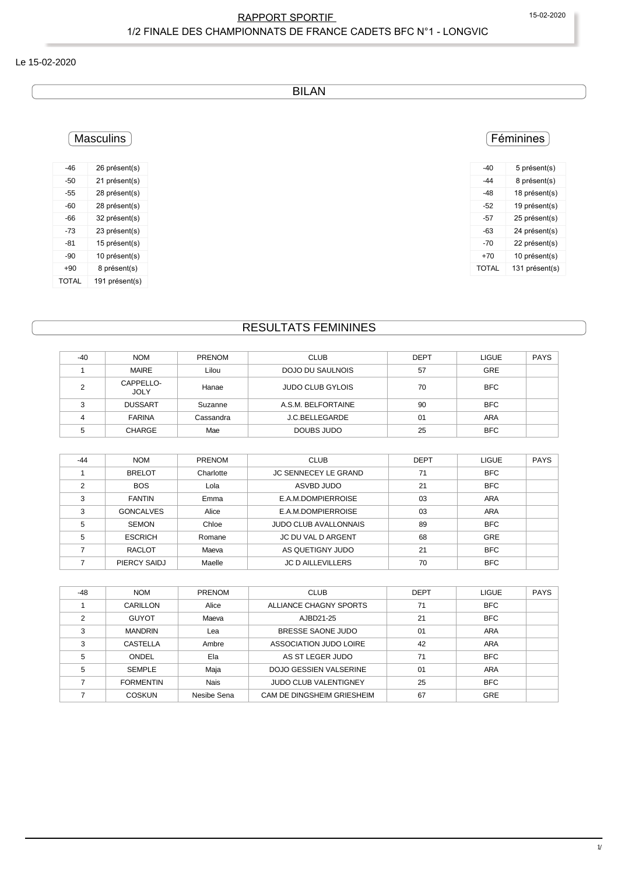### RAPPORT SPORTIF 15-02-2020 1/2 FINALE DES CHAMPIONNATS DE FRANCE CADETS BFC N°1 - LONGVIC

#### Le 15-02-2020

BILAN

### Féminines

| -40   | 5 présent(s)   |
|-------|----------------|
| -44   | 8 présent(s)   |
| -48   | 18 présent(s)  |
| $-52$ | 19 présent(s)  |
| -57   | 25 présent(s)  |
| -63   | 24 présent(s)  |
| -70   | 22 présent(s)  |
| +70   | 10 présent(s)  |
| TOTAL | 131 présent(s) |

## Masculins

| -46   | 26 présent(s)  |
|-------|----------------|
| -50   | 21 présent(s)  |
| -55   | 28 présent(s)  |
| -60   | 28 présent(s)  |
| -66   | 32 présent(s)  |
| -73   | 23 présent(s)  |
| -81   | 15 présent(s)  |
| $-90$ | 10 présent(s)  |
| $+90$ | 8 présent(s)   |
| TOTAL | 191 présent(s) |

### RESULTATS FEMININES

| $-40$ | <b>NOM</b>               | <b>PRENOM</b> | <b>CLUB</b>             | <b>DEPT</b> | <b>LIGUE</b> | <b>PAYS</b> |
|-------|--------------------------|---------------|-------------------------|-------------|--------------|-------------|
|       | MAIRE                    | Lilou         | DOJO DU SAULNOIS        | 57          | <b>GRE</b>   |             |
| ົ     | CAPPELLO-<br><b>JOLY</b> | Hanae         | <b>JUDO CLUB GYLOIS</b> | 70          | <b>BFC</b>   |             |
| C     | <b>DUSSART</b>           | Suzanne       | A.S.M. BELFORTAINE      | 90          | <b>BFC</b>   |             |
|       | <b>FARINA</b>            | Cassandra     | J.C.BELLEGARDE          | 01          | <b>ARA</b>   |             |
|       | CHARGE                   | Mae           | DOUBS JUDO              | 25          | <b>BFC</b>   |             |

| $-44$ | <b>NOM</b>       | <b>PRENOM</b> | <b>CLUB</b>                  | <b>DEPT</b> | <b>LIGUE</b> | <b>PAYS</b> |
|-------|------------------|---------------|------------------------------|-------------|--------------|-------------|
|       | <b>BRELOT</b>    | Charlotte     | <b>JC SENNECEY LE GRAND</b>  | 71          | <b>BFC</b>   |             |
| ◠     | <b>BOS</b>       | Lola          | ASVBD JUDO                   | 21          | <b>BFC</b>   |             |
| 3     | <b>FANTIN</b>    | Emma          | E.A.M.DOMPIERROISE           | 03          | <b>ARA</b>   |             |
| ົ     | <b>GONCALVES</b> | Alice         | E.A.M.DOMPIERROISE           | 03          | ARA          |             |
| 5     | <b>SEMON</b>     | Chloe         | <b>JUDO CLUB AVALLONNAIS</b> | 89          | <b>BFC</b>   |             |
| 5     | <b>ESCRICH</b>   | Romane        | JC DU VAL D ARGENT           | 68          | <b>GRE</b>   |             |
|       | <b>RACLOT</b>    | Maeva         | AS QUETIGNY JUDO             | 21          | <b>BFC</b>   |             |
|       | PIERCY SAIDJ     | Maelle        | <b>JC D AILLEVILLERS</b>     | 70          | <b>BFC</b>   |             |

| $-48$          | <b>NOM</b>       | <b>PRENOM</b> | <b>CLUB</b>                   | <b>DEPT</b> | <b>LIGUE</b> | <b>PAYS</b> |
|----------------|------------------|---------------|-------------------------------|-------------|--------------|-------------|
|                | CARILLON         | Alice         | ALLIANCE CHAGNY SPORTS        | 71          | <b>BFC</b>   |             |
| $\mathfrak{p}$ | <b>GUYOT</b>     | Maeva         | AJBD21-25                     | 21          | <b>BFC</b>   |             |
| 3              | <b>MANDRIN</b>   | Lea           | BRESSE SAONE JUDO             | 01          | <b>ARA</b>   |             |
| 3              | <b>CASTELLA</b>  | Ambre         | ASSOCIATION JUDO LOIRE        | 42          | <b>ARA</b>   |             |
| 5              | ONDEL            | Ela           | AS ST LEGER JUDO              | 71          | <b>BFC</b>   |             |
| 5              | <b>SEMPLE</b>    | Maja          | <b>DOJO GESSIEN VALSERINE</b> | 01          | ARA          |             |
|                | <b>FORMENTIN</b> | <b>Nais</b>   | <b>JUDO CLUB VALENTIGNEY</b>  | 25          | <b>BFC</b>   |             |
|                | <b>COSKUN</b>    | Nesibe Sena   | CAM DE DINGSHEIM GRIESHEIM    | 67          | GRE          |             |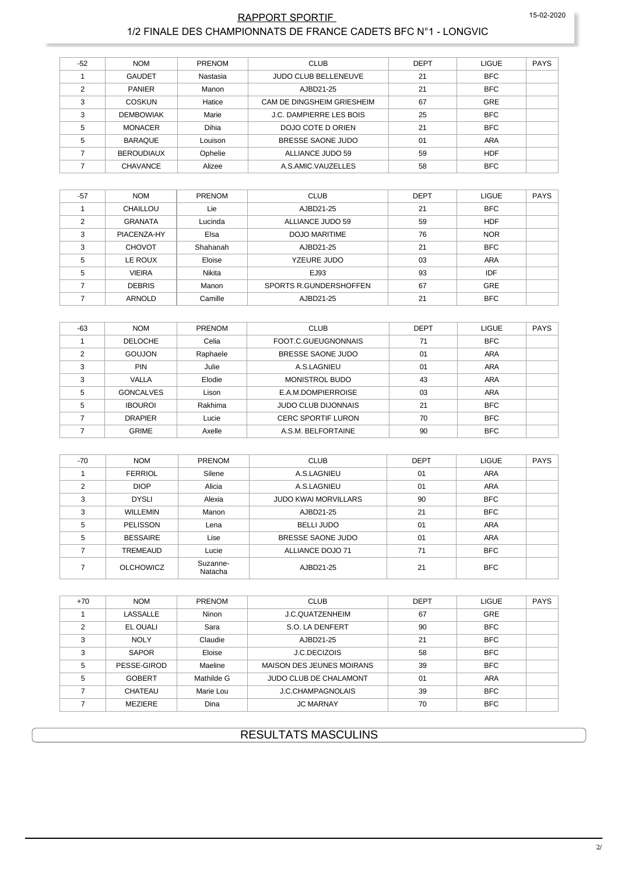#### RAPPORT SPORTIF 1/2 FINALE DES CHAMPIONNATS DE FRANCE CADETS BFC N°1 - LONGVIC

|       |                   |               | <b>CLUB</b>                    |             |              |             |
|-------|-------------------|---------------|--------------------------------|-------------|--------------|-------------|
| $-52$ | <b>NOM</b>        | <b>PRENOM</b> |                                | <b>DEPT</b> | <b>LIGUE</b> | <b>PAYS</b> |
|       | <b>GAUDET</b>     | Nastasia      | <b>JUDO CLUB BELLENEUVE</b>    | 21          | <b>BFC</b>   |             |
| 2     | <b>PANIER</b>     | Manon         | AJBD21-25                      | 21          | <b>BFC</b>   |             |
| 3     | <b>COSKUN</b>     | Hatice        | CAM DE DINGSHEIM GRIESHEIM     | 67          | <b>GRE</b>   |             |
| 3     | <b>DEMBOWIAK</b>  | Marie         | <b>J.C. DAMPIERRE LES BOIS</b> | 25          | <b>BFC</b>   |             |
| 5     | <b>MONACER</b>    | Dihia         | DOJO COTE D ORIEN              | 21          | <b>BFC</b>   |             |
| 5     | <b>BARAQUE</b>    | Louison       | BRESSE SAONE JUDO              | 01          | <b>ARA</b>   |             |
|       | <b>BEROUDIAUX</b> | Ophelie       | ALLIANCE JUDO 59               | 59          | <b>HDF</b>   |             |
|       | CHAVANCE          | Alizee        | A.S.AMIC.VAUZELLES             | 58          | <b>BFC</b>   |             |

| $-57$ | <b>NOM</b>     | <b>PRENOM</b> | <b>CLUB</b>            | <b>DEPT</b> | <b>LIGUE</b> | PAYS |
|-------|----------------|---------------|------------------------|-------------|--------------|------|
|       | CHAILLOU       | Lie           | AJBD21-25              | 21          | <b>BFC</b>   |      |
| 2     | <b>GRANATA</b> | Lucinda       | ALLIANCE JUDO 59       | 59          | <b>HDF</b>   |      |
| 3     | PIACENZA-HY    | Elsa          | <b>DOJO MARITIME</b>   | 76          | <b>NOR</b>   |      |
| 3     | <b>CHOVOT</b>  | Shahanah      | AJBD21-25              | 21          | <b>BFC</b>   |      |
| 5     | LE ROUX        | Eloise        | YZEURE JUDO            | 03          | <b>ARA</b>   |      |
| 5     | <b>VIEIRA</b>  | Nikita        | EJ93                   | 93          | IDF          |      |
|       | <b>DEBRIS</b>  | Manon         | SPORTS R.GUNDERSHOFFEN | 67          | <b>GRE</b>   |      |
|       | <b>ARNOLD</b>  | Camille       | AJBD21-25              | 21          | <b>BFC</b>   |      |

| $-63$ | <b>NOM</b>       | <b>PRENOM</b> | <b>CLUB</b>                | <b>DEPT</b> | <b>LIGUE</b> | <b>PAYS</b> |
|-------|------------------|---------------|----------------------------|-------------|--------------|-------------|
|       | <b>DELOCHE</b>   | Celia         | FOOT.C.GUEUGNONNAIS        | 71          | <b>BFC</b>   |             |
| ◠     | <b>GOUJON</b>    | Raphaele      | BRESSE SAONE JUDO          | 01          | ARA          |             |
| 3     | <b>PIN</b>       | Julie         | A.S.LAGNIEU                | 01          | ARA          |             |
| 3     | <b>VALLA</b>     | Elodie        | <b>MONISTROL BUDO</b>      | 43          | <b>ARA</b>   |             |
| 5     | <b>GONCALVES</b> | Lison         | E.A.M.DOMPIERROISE         | 03          | <b>ARA</b>   |             |
| 5     | <b>IBOUROL</b>   | Rakhima       | <b>JUDO CLUB DIJONNAIS</b> | 21          | <b>BFC</b>   |             |
|       | <b>DRAPIER</b>   | Lucie         | <b>CERC SPORTIF LURON</b>  | 70          | <b>BFC</b>   |             |
|       | <b>GRIME</b>     | Axelle        | A.S.M. BELFORTAINE         | 90          | <b>BFC</b>   |             |

| $-70$          | <b>NOM</b>       | <b>PRENOM</b>       | <b>CLUB</b>                 | <b>DEPT</b> | <b>LIGUE</b> | <b>PAYS</b> |
|----------------|------------------|---------------------|-----------------------------|-------------|--------------|-------------|
|                | <b>FERRIOL</b>   | Silene              | A.S.LAGNIEU                 | 01          | <b>ARA</b>   |             |
| $\mathfrak{p}$ | <b>DIOP</b>      | Alicia              | A.S.LAGNIEU                 | 01          | <b>ARA</b>   |             |
| 3              | <b>DYSLI</b>     | Alexia              | <b>JUDO KWAI MORVILLARS</b> | 90          | <b>BFC</b>   |             |
| 3              | <b>WILLEMIN</b>  | Manon               | AJBD21-25                   | 21          | <b>BFC</b>   |             |
| 5              | PELISSON         | Lena                | <b>BELLI JUDO</b>           | 01          | <b>ARA</b>   |             |
| 5              | <b>BESSAIRE</b>  | Lise                | BRESSE SAONE JUDO           | 01          | <b>ARA</b>   |             |
|                | <b>TREMEAUD</b>  | Lucie               | ALLIANCE DOJO 71            | 71          | <b>BFC</b>   |             |
|                | <b>OLCHOWICZ</b> | Suzanne-<br>Natacha | AJBD21-25                   | 21          | <b>BFC</b>   |             |

| $+70$         | <b>NOM</b>      | <b>PRENOM</b> | <b>CLUB</b>                      | <b>DEPT</b> | <b>LIGUE</b> | <b>PAYS</b> |
|---------------|-----------------|---------------|----------------------------------|-------------|--------------|-------------|
|               | <b>LASSALLE</b> | <b>Ninon</b>  | J.C.OUATZENHEIM                  | 67          | <b>GRE</b>   |             |
| $\mathcal{P}$ | EL OUALI        | Sara          | S.O. LA DENFERT                  | 90          | <b>BFC</b>   |             |
| 3             | <b>NOLY</b>     | Claudie       | AJBD21-25                        | 21          | <b>BFC</b>   |             |
| 3             | SAPOR           | Eloise        | <b>J.C.DECIZOIS</b>              | 58          | <b>BFC</b>   |             |
| 5             | PESSE-GIROD     | Maeline       | <b>MAISON DES JEUNES MOIRANS</b> | 39          | <b>BFC</b>   |             |
| 5             | <b>GOBERT</b>   | Mathilde G    | JUDO CLUB DE CHALAMONT           | 01          | ARA          |             |
|               | CHATEAU         | Marie Lou     | <b>J.C.CHAMPAGNOLAIS</b>         | 39          | <b>BFC</b>   |             |
|               | <b>MEZIERE</b>  | Dina          | <b>JC MARNAY</b>                 | 70          | <b>BFC</b>   |             |

### **RESULTATS MASCULINS**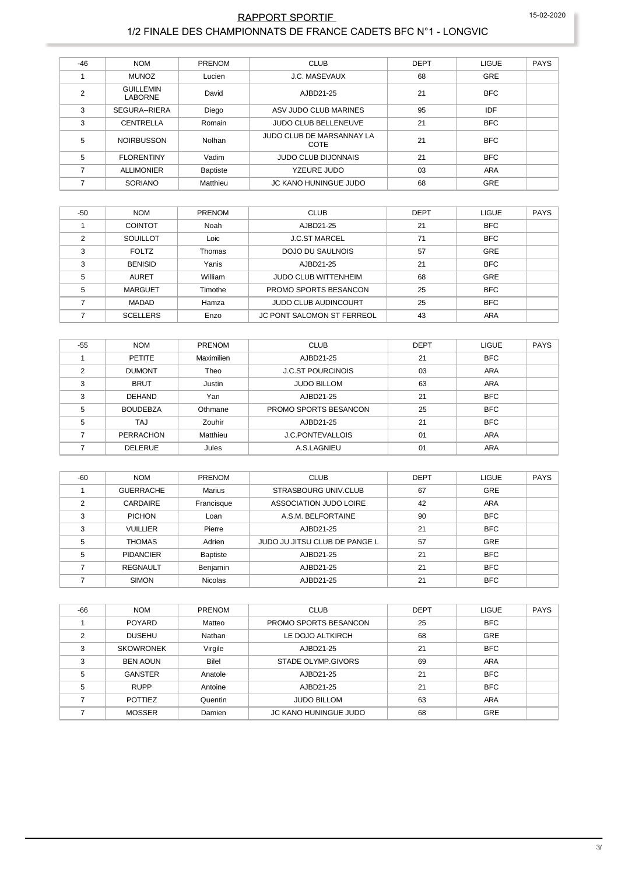#### RAPPORT SPORTIF 1/2 FINALE DES CHAMPIONNATS DE FRANCE CADETS BFC N°1 - LONGVIC

| $-46$          | <b>NOM</b>                         | <b>PRENOM</b>   | <b>CLUB</b>                       | <b>DEPT</b> | <b>LIGUE</b> | <b>PAYS</b> |
|----------------|------------------------------------|-----------------|-----------------------------------|-------------|--------------|-------------|
|                | <b>MUNOZ</b>                       | Lucien          | <b>J.C. MASEVAUX</b>              | 68          | GRE          |             |
| $\overline{2}$ | <b>GUILLEMIN</b><br><b>LABORNE</b> | David           | AJBD21-25                         | 21          | <b>BFC</b>   |             |
| 3              | SEGURA--RIERA                      | Diego           | ASV JUDO CLUB MARINES             | 95          | IDF          |             |
| 3              | CENTRELLA                          | Romain          | <b>JUDO CLUB BELLENEUVE</b>       | 21          | <b>BFC</b>   |             |
| 5              | <b>NOIRBUSSON</b>                  | Nolhan          | JUDO CLUB DE MARSANNAY LA<br>COTE | 21          | <b>BFC</b>   |             |
| 5              | <b>FLORENTINY</b>                  | Vadim           | <b>JUDO CLUB DIJONNAIS</b>        | 21          | <b>BFC</b>   |             |
|                | <b>ALLIMONIER</b>                  | <b>Baptiste</b> | YZEURE JUDO                       | 03          | <b>ARA</b>   |             |
|                | <b>SORIANO</b>                     | Matthieu        | JC KANO HUNINGUE JUDO             | 68          | <b>GRE</b>   |             |

| $-50$ | <b>NOM</b>      | <b>PRENOM</b> | <b>CLUB</b>                       | <b>DEPT</b> | <b>LIGUE</b> | <b>PAYS</b> |
|-------|-----------------|---------------|-----------------------------------|-------------|--------------|-------------|
|       | <b>COINTOT</b>  | Noah          | AJBD21-25                         | 21          | <b>BFC</b>   |             |
| ◠     | SOUILLOT        | Loic          | <b>J.C.ST MARCEL</b>              | 71          | <b>BFC</b>   |             |
| 3     | <b>FOLTZ</b>    | Thomas        | DOJO DU SAULNOIS                  | 57          | GRE          |             |
| 3     | <b>BENISID</b>  | Yanis         | AJBD21-25                         | 21          | <b>BFC</b>   |             |
| 5     | <b>AURET</b>    | William       | <b>JUDO CLUB WITTENHEIM</b>       | 68          | GRE          |             |
| 5     | <b>MARGUET</b>  | Timothe       | PROMO SPORTS BESANCON             | 25          | <b>BFC</b>   |             |
|       | MADAD           | Hamza         | <b>JUDO CLUB AUDINCOURT</b>       | 25          | <b>BFC</b>   |             |
|       | <b>SCELLERS</b> | Enzo          | <b>JC PONT SALOMON ST FERREOL</b> | 43          | <b>ARA</b>   |             |

| $-55$ | <b>NOM</b>       | <b>PRENOM</b> | <b>CLUB</b>              | <b>DEPT</b> | <b>LIGUE</b> | <b>PAYS</b> |
|-------|------------------|---------------|--------------------------|-------------|--------------|-------------|
|       | <b>PETITE</b>    | Maximilien    | AJBD21-25                | 21          | <b>BFC</b>   |             |
| ◠     | <b>DUMONT</b>    | Theo          | <b>J.C.ST POURCINOIS</b> | 03          | <b>ARA</b>   |             |
| 3     | <b>BRUT</b>      | Justin        | <b>JUDO BILLOM</b>       | 63          | <b>ARA</b>   |             |
| 3     | <b>DEHAND</b>    | Yan           | AJBD21-25                | 21          | <b>BFC</b>   |             |
| 5     | <b>BOUDEBZA</b>  | Othmane       | PROMO SPORTS BESANCON    | 25          | <b>BFC</b>   |             |
| 5     | <b>TAJ</b>       | Zouhir        | AJBD21-25                | 21          | <b>BFC</b>   |             |
|       | <b>PERRACHON</b> | Matthieu      | <b>J.C.PONTEVALLOIS</b>  | 01          | <b>ARA</b>   |             |
|       | <b>DELERUE</b>   | Jules         | A.S.LAGNIEU              | 01          | <b>ARA</b>   |             |

| -60 | <b>NOM</b>       | <b>PRENOM</b>   | <b>CLUB</b>                   | <b>DEPT</b> | <b>LIGUE</b> | <b>PAYS</b> |
|-----|------------------|-----------------|-------------------------------|-------------|--------------|-------------|
|     | <b>GUERRACHE</b> | <b>Marius</b>   | <b>STRASBOURG UNIV.CLUB</b>   | 67          | GRE          |             |
| ◠   | CARDAIRE         | Francisque      | ASSOCIATION JUDO LOIRE        | 42          | ARA          |             |
| 3   | <b>PICHON</b>    | Loan            | A.S.M. BELFORTAINE            | 90          | <b>BFC</b>   |             |
| 3   | <b>VUILLIER</b>  | Pierre          | AJBD21-25                     | 21          | <b>BFC</b>   |             |
| 5   | <b>THOMAS</b>    | Adrien          | JUDO JU JITSU CLUB DE PANGE L | 57          | <b>GRE</b>   |             |
| 5   | <b>PIDANCIER</b> | <b>Baptiste</b> | AJBD21-25                     | 21          | <b>BFC</b>   |             |
|     | <b>REGNAULT</b>  | Benjamin        | AJBD21-25                     | 21          | <b>BFC</b>   |             |
|     | <b>SIMON</b>     | <b>Nicolas</b>  | AJBD21-25                     | 21          | <b>BFC</b>   |             |

| -66 | <b>NOM</b>       | <b>PRENOM</b> | <b>CLUB</b>                  | <b>DEPT</b> | <b>LIGUE</b> | <b>PAYS</b> |
|-----|------------------|---------------|------------------------------|-------------|--------------|-------------|
|     | <b>POYARD</b>    | Matteo        | PROMO SPORTS BESANCON        | 25          | <b>BFC</b>   |             |
| ◠   | <b>DUSEHU</b>    | Nathan        | LE DOJO ALTKIRCH             | 68          | <b>GRE</b>   |             |
| 3   | <b>SKOWRONEK</b> | Virgile       | AJBD21-25                    | 21          | <b>BFC</b>   |             |
| 3   | <b>BEN AOUN</b>  | <b>Bilel</b>  | STADE OLYMP GIVORS           | 69          | ARA          |             |
| 5   | <b>GANSTER</b>   | Anatole       | AJBD21-25                    | 21          | <b>BFC</b>   |             |
| 5   | <b>RUPP</b>      | Antoine       | AJBD21-25                    | 21          | <b>BFC</b>   |             |
|     | <b>POTTIEZ</b>   | Quentin       | <b>JUDO BILLOM</b>           | 63          | <b>ARA</b>   |             |
|     | <b>MOSSER</b>    | Damien        | <b>JC KANO HUNINGUE JUDO</b> | 68          | <b>GRE</b>   |             |